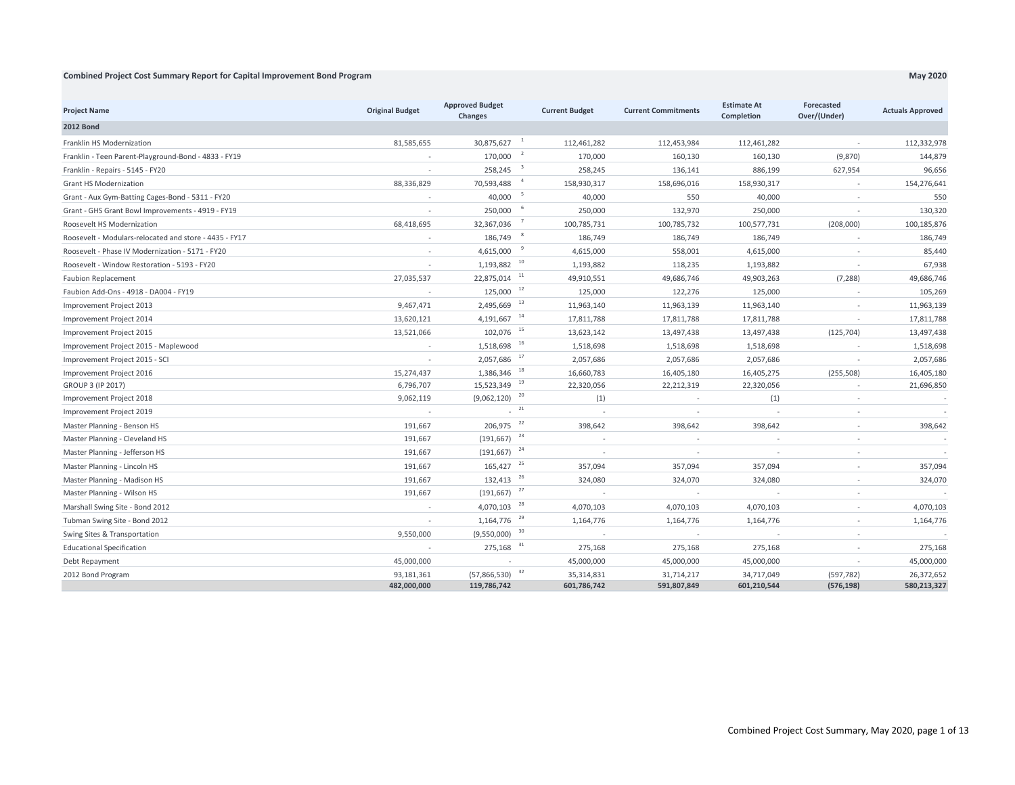## **Combined Project Cost Summary Report for Capital Improvement Bond Program**

| <b>Project Name</b>                                    | <b>Original Budget</b>    | <b>Approved Budget</b><br><b>Changes</b>    | <b>Current Budget</b>                   | <b>Current Commitments</b> | <b>Estimate At</b><br>Completion | Forecasted<br>Over/(Under) | <b>Actuals Approved</b>   |
|--------------------------------------------------------|---------------------------|---------------------------------------------|-----------------------------------------|----------------------------|----------------------------------|----------------------------|---------------------------|
| <b>2012 Bond</b>                                       |                           |                                             |                                         |                            |                                  |                            |                           |
| Franklin HS Modernization                              | 81,585,655                | 30,875,627                                  | $\overline{\phantom{0}}$<br>112,461,282 | 112,453,984                | 112,461,282                      | $\overline{\phantom{a}}$   | 112,332,978               |
| Franklin - Teen Parent-Playground-Bond - 4833 - FY19   |                           | $170,000$ <sup>2</sup>                      | 170,000                                 | 160,130                    | 160,130                          | (9,870)                    | 144,879                   |
| Franklin - Repairs - 5145 - FY20                       |                           | 258,245                                     | $\overline{\phantom{a}}$<br>258,245     | 136,141                    | 886,199                          | 627,954                    | 96,656                    |
| Grant HS Modernization                                 | 88,336,829                | 70,593,488                                  | 158,930,317                             | 158,696,016                | 158,930,317                      | $\sim$                     | 154,276,641               |
| Grant - Aux Gym-Batting Cages-Bond - 5311 - FY20       |                           | 40,000                                      | $\overline{\phantom{0}}$<br>40,000      | 550                        | 40,000                           |                            | 550                       |
| Grant - GHS Grant Bowl Improvements - 4919 - FY19      |                           | 250,000                                     | 250,000                                 | 132,970                    | 250,000                          | $\overline{\phantom{a}}$   | 130,320                   |
| Roosevelt HS Modernization                             | 68,418,695                | 32,367,036                                  | 100,785,731                             | 100,785,732                | 100,577,731                      | (208,000)                  | 100,185,876               |
| Roosevelt - Modulars-relocated and store - 4435 - FY17 |                           | 186,749                                     | 186,749                                 | 186,749                    | 186,749                          | $\overline{\phantom{a}}$   | 186,749                   |
| Roosevelt - Phase IV Modernization - 5171 - FY20       |                           | 4,615,000                                   | - 9<br>4,615,000                        | 558,001                    | 4,615,000                        | $\sim$                     | 85,440                    |
| Roosevelt - Window Restoration - 5193 - FY20           |                           | $1,193,882$ <sup>10</sup>                   | 1,193,882                               | 118,235                    | 1,193,882                        | $\sim$                     | 67,938                    |
| <b>Faubion Replacement</b>                             | 27,035,537                | 22,875,014 11                               | 49,910,551                              | 49,686,746                 | 49,903,263                       | (7, 288)                   | 49,686,746                |
| Faubion Add-Ons - 4918 - DA004 - FY19                  |                           | $125,000$ <sup>12</sup>                     | 125,000                                 | 122,276                    | 125,000                          | $\sim$                     | 105,269                   |
| Improvement Project 2013                               | 9,467,471                 | $2,495,669$ <sup>13</sup>                   | 11,963,140                              | 11,963,139                 | 11,963,140                       | $\sim$                     | 11,963,139                |
| Improvement Project 2014                               | 13,620,121                | $4,191,667$ <sup>14</sup>                   | 17,811,788                              | 17,811,788                 | 17,811,788                       | $\sim$                     | 17,811,788                |
| Improvement Project 2015                               | 13,521,066                | 102,076 15                                  | 13,623,142                              | 13,497,438                 | 13,497,438                       | (125, 704)                 | 13,497,438                |
| Improvement Project 2015 - Maplewood                   | $\sim$                    | $1,518,698$ <sup>16</sup>                   | 1,518,698                               | 1,518,698                  | 1,518,698                        | $\overline{\phantom{a}}$   | 1,518,698                 |
| Improvement Project 2015 - SCI                         | $\sim$                    | $2,057,686$ <sup>17</sup>                   | 2,057,686                               | 2,057,686                  | 2,057,686                        | $\sim$                     | 2,057,686                 |
| Improvement Project 2016                               | 15,274,437                | $1,386,346$ <sup>18</sup>                   | 16,660,783                              | 16,405,180                 | 16,405,275                       | (255, 508)                 | 16,405,180                |
| GROUP 3 (IP 2017)                                      | 6,796,707                 | 15,523,349 19                               | 22,320,056                              | 22,212,319                 | 22,320,056                       | $\sim$                     | 21,696,850                |
| Improvement Project 2018                               | 9,062,119                 | (9,062,120)                                 | 20<br>(1)                               | $\overline{\phantom{a}}$   | (1)                              | $\sim$                     |                           |
| Improvement Project 2019                               | $\sim$                    | 121                                         | $\sim$                                  | $\overline{\phantom{a}}$   | $\sim$                           | $\sim$                     |                           |
| Master Planning - Benson HS                            | 191,667                   | 206,975                                     | 22<br>398,642                           | 398,642                    | 398,642                          |                            | 398,642                   |
| Master Planning - Cleveland HS                         | 191,667                   | $(191, 667)$ <sup>23</sup>                  |                                         |                            |                                  |                            |                           |
| Master Planning - Jefferson HS                         | 191,667                   | (191, 667)                                  | 24<br>$\sim$                            | $\overline{\phantom{a}}$   | $\sim$                           |                            |                           |
| Master Planning - Lincoln HS                           | 191,667                   | $165,427$ <sup>25</sup>                     | 357,094                                 | 357,094                    | 357,094                          | $\sim$                     | 357,094                   |
| Master Planning - Madison HS                           | 191,667                   | 132,413 <sup>26</sup>                       | 324,080                                 | 324,070                    | 324,080                          | $\sim$                     | 324,070                   |
| Master Planning - Wilson HS                            | 191,667                   | $(191, 667)$ <sup>27</sup>                  | $\sim$                                  | $\sim$                     | $\sim$                           | $\sim$                     |                           |
| Marshall Swing Site - Bond 2012                        |                           | $4,070,103$ <sup>28</sup>                   | 4,070,103                               | 4,070,103                  | 4,070,103                        | $\sim$                     | 4,070,103                 |
| Tubman Swing Site - Bond 2012                          | $\sim$                    | 1,164,776                                   | 29<br>1,164,776                         | 1,164,776                  | 1,164,776                        | $\sim$                     | 1,164,776                 |
| Swing Sites & Transportation                           | 9,550,000                 | (9,550,000)                                 | 30<br>$\sim$                            | $\overline{\phantom{a}}$   | $\sim$                           | $\sim$                     |                           |
| <b>Educational Specification</b>                       |                           | 275,168 31                                  | 275,168                                 | 275,168                    | 275,168                          | $\sim$                     | 275,168                   |
| Debt Repayment                                         | 45,000,000                | $\sim$                                      | 45,000,000                              | 45,000,000                 | 45,000,000                       | $\sim$                     | 45,000,000                |
| 2012 Bond Program                                      | 93,181,361<br>482,000,000 | $(57,866,530)$ <sup>32</sup><br>119,786,742 | 35,314,831<br>601,786,742               | 31,714,217<br>591,807,849  | 34,717,049<br>601,210,544        | (597, 782)<br>(576, 198)   | 26,372,652<br>580,213,327 |

**May 2020**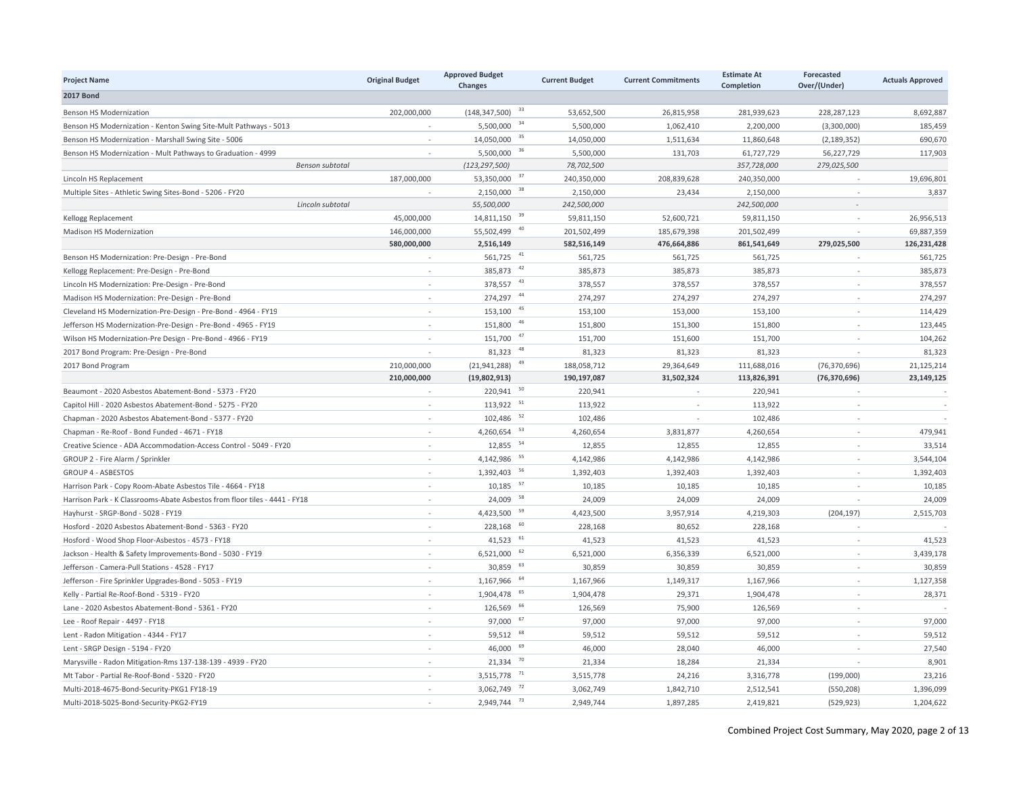| <b>Project Name</b>                                                        | <b>Original Budget</b> | <b>Approved Budget</b><br>Changes | <b>Current Budget</b> | <b>Current Commitments</b> | <b>Estimate At</b><br>Completion | Forecasted<br>Over/(Under) | <b>Actuals Approved</b> |
|----------------------------------------------------------------------------|------------------------|-----------------------------------|-----------------------|----------------------------|----------------------------------|----------------------------|-------------------------|
| <b>2017 Bond</b>                                                           |                        |                                   |                       |                            |                                  |                            |                         |
| <b>Benson HS Modernization</b>                                             | 202,000,000            | (148, 347, 500)                   | 33<br>53,652,500      | 26,815,958                 | 281,939,623                      | 228,287,123                | 8,692,887               |
| Benson HS Modernization - Kenton Swing Site-Mult Pathways - 5013           |                        | 5,500,000 34                      | 5,500,000             | 1,062,410                  | 2,200,000                        | (3,300,000)                | 185,459                 |
| Benson HS Modernization - Marshall Swing Site - 5006                       | ÷.                     | 14,050,000 35                     | 14,050,000            | 1,511,634                  | 11,860,648                       | (2, 189, 352)              | 690,670                 |
| Benson HS Modernization - Mult Pathways to Graduation - 4999               | ÷.                     | 5,500,000                         | 36<br>5,500,000       | 131,703                    | 61,727,729                       | 56,227,729                 | 117,903                 |
| Benson subtotal                                                            |                        | (123, 297, 500)                   | 78,702,500            |                            | 357,728,000                      | 279,025,500                |                         |
| Lincoln HS Replacement                                                     | 187,000,000            | 53,350,000                        | 37<br>240,350,000     | 208,839,628                | 240,350,000                      |                            | 19,696,801              |
| Multiple Sites - Athletic Swing Sites-Bond - 5206 - FY20                   |                        | 2,150,000                         | 38<br>2,150,000       | 23,434                     | 2,150,000                        |                            | 3,837                   |
| Lincoln subtotal                                                           |                        | 55,500,000                        | 242,500,000           |                            | 242,500,000                      | $\sim$                     |                         |
| Kellogg Replacement                                                        | 45,000,000             | 14,811,150 39                     | 59,811,150            | 52,600,721                 | 59,811,150                       |                            | 26,956,513              |
| Madison HS Modernization                                                   | 146,000,000            | 55,502,499                        | 40<br>201,502,499     | 185,679,398                | 201,502,499                      |                            | 69,887,359              |
|                                                                            | 580,000,000            | 2,516,149                         | 582,516,149           | 476,664,886                | 861,541,649                      | 279,025,500                | 126,231,428             |
| Benson HS Modernization: Pre-Design - Pre-Bond                             | $\sim$                 | 561,725 $41$                      | 561,725               | 561,725                    | 561,725                          |                            | 561,725                 |
| Kellogg Replacement: Pre-Design - Pre-Bond                                 | ÷.                     | $385,873$ $42$                    | 385,873               | 385,873                    | 385,873                          |                            | 385,873                 |
| Lincoln HS Modernization: Pre-Design - Pre-Bond                            |                        | 378,557 43                        | 378,557               | 378,557                    | 378,557                          |                            | 378,557                 |
| Madison HS Modernization: Pre-Design - Pre-Bond                            | ÷                      | 274,297                           | 44<br>274,297         | 274,297                    | 274,297                          |                            | 274,297                 |
| Cleveland HS Modernization-Pre-Design - Pre-Bond - 4964 - FY19             | $\sim$                 | 153,100                           | 45<br>153,100         | 153,000                    | 153,100                          | ÷.                         | 114,429                 |
| Jefferson HS Modernization-Pre-Design - Pre-Bond - 4965 - FY19             | ÷.                     | 151,800                           | 46<br>151,800         | 151,300                    | 151,800                          |                            | 123,445                 |
| Wilson HS Modernization-Pre Design - Pre-Bond - 4966 - FY19                | $\sim$                 | 151,700                           | 47<br>151,700         | 151,600                    | 151,700                          | $\sim$                     | 104,262                 |
| 2017 Bond Program: Pre-Design - Pre-Bond                                   | $\sim$                 | 81,323                            | $\sqrt{48}$<br>81,323 | 81,323                     | 81,323                           |                            | 81,323                  |
| 2017 Bond Program                                                          | 210,000,000            | (21, 941, 288)                    | 49<br>188,058,712     | 29,364,649                 | 111,688,016                      | (76, 370, 696)             | 21,125,214              |
|                                                                            | 210,000,000            | (19,802,913)                      | 190,197,087           | 31,502,324                 | 113,826,391                      | (76, 370, 696)             | 23,149,125              |
| Beaumont - 2020 Asbestos Abatement-Bond - 5373 - FY20                      |                        | 220,941                           | 50<br>220,941         |                            | 220,941                          |                            |                         |
| Capitol Hill - 2020 Asbestos Abatement-Bond - 5275 - FY20                  | $\sim$                 | $113,922$ <sup>51</sup>           | 113,922               |                            | 113,922                          |                            | $\sim$                  |
| Chapman - 2020 Asbestos Abatement-Bond - 5377 - FY20                       | ÷.                     | 102,486                           | 52<br>102,486         |                            | 102,486                          |                            |                         |
| Chapman - Re-Roof - Bond Funded - 4671 - FY18                              | $\sim$                 | 4,260,654                         | 53<br>4,260,654       | 3,831,877                  | 4,260,654                        |                            | 479,941                 |
| Creative Science - ADA Accommodation-Access Control - 5049 - FY20          | $\sim$                 | 12,855 54                         | 12,855                | 12,855                     | 12,855                           | ÷.                         | 33,514                  |
| GROUP 2 - Fire Alarm / Sprinkler                                           | ÷.                     | 4, 142, 986 55                    | 4,142,986             | 4,142,986                  | 4,142,986                        |                            | 3,544,104               |
| <b>GROUP 4 - ASBESTOS</b>                                                  | ÷.                     | 1,392,403                         | 56<br>1,392,403       | 1,392,403                  | 1,392,403                        |                            | 1,392,403               |
| Harrison Park - Copy Room-Abate Asbestos Tile - 4664 - FY18                | ÷.                     | 10,185                            | 57<br>10,185          | 10,185                     | 10,185                           |                            | 10,185                  |
| Harrison Park - K Classrooms-Abate Asbestos from floor tiles - 4441 - FY18 | ÷.                     | 24,009                            | 58<br>24,009          | 24,009                     | 24,009                           |                            | 24,009                  |
| Hayhurst - SRGP-Bond - 5028 - FY19                                         |                        | 4,423,500                         | 59<br>4,423,500       | 3,957,914                  | 4,219,303                        | (204, 197)                 | 2,515,703               |
| Hosford - 2020 Asbestos Abatement-Bond - 5363 - FY20                       | ÷.                     | 228,168                           | 60<br>228,168         | 80,652                     | 228,168                          |                            |                         |
| Hosford - Wood Shop Floor-Asbestos - 4573 - FY18                           | ÷.                     | $41,523$ $61$                     | 41,523                | 41,523                     | 41,523                           |                            | 41,523                  |
| Jackson - Health & Safety Improvements-Bond - 5030 - FY19                  | ÷                      | 6,521,000                         | 62<br>6,521,000       | 6,356,339                  | 6,521,000                        |                            | 3,439,178               |
| Jefferson - Camera-Pull Stations - 4528 - FY17                             | ÷.                     | 30,859                            | 63<br>30,859          | 30,859                     | 30,859                           |                            | 30,859                  |
| Jefferson - Fire Sprinkler Upgrades-Bond - 5053 - FY19                     | $\sim$                 | 1,167,966                         | 64<br>1,167,966       | 1,149,317                  | 1,167,966                        |                            | 1,127,358               |
| Kelly - Partial Re-Roof-Bond - 5319 - FY20                                 | $\sim$                 | 1,904,478                         | 65<br>1,904,478       | 29,371                     | 1,904,478                        |                            | 28,371                  |
| Lane - 2020 Asbestos Abatement-Bond - 5361 - FY20                          | $\sim$                 | 126,569                           | 66<br>126,569         | 75,900                     | 126,569                          |                            |                         |
| Lee - Roof Repair - 4497 - FY18                                            | ÷.                     | 97,000                            | 67<br>97,000          | 97,000                     | 97,000                           |                            | 97,000                  |
| Lent - Radon Mitigation - 4344 - FY17                                      | ÷,                     | 59,512                            | 68<br>59,512          | 59,512                     | 59,512                           |                            | 59,512                  |
| Lent - SRGP Design - 5194 - FY20                                           | ÷.                     | 46,000                            | 69<br>46,000          | 28,040                     | 46,000                           |                            | 27,540                  |
| Marysville - Radon Mitigation-Rms 137-138-139 - 4939 - FY20                | ÷.                     | 21,334                            | 70<br>21,334          | 18,284                     | 21,334                           |                            | 8,901                   |
| Mt Tabor - Partial Re-Roof-Bond - 5320 - FY20                              |                        | 3,515,778                         | 71<br>3,515,778       | 24,216                     | 3,316,778                        | (199,000)                  | 23,216                  |
| Multi-2018-4675-Bond-Security-PKG1 FY18-19                                 | $\sim$                 | 3,062,749 72                      | 3,062,749             | 1,842,710                  | 2,512,541                        | (550, 208)                 | 1,396,099               |
| Multi-2018-5025-Bond-Security-PKG2-FY19                                    |                        | 2,949,744                         | 73<br>2,949,744       | 1,897,285                  | 2,419,821                        | (529, 923)                 | 1,204,622               |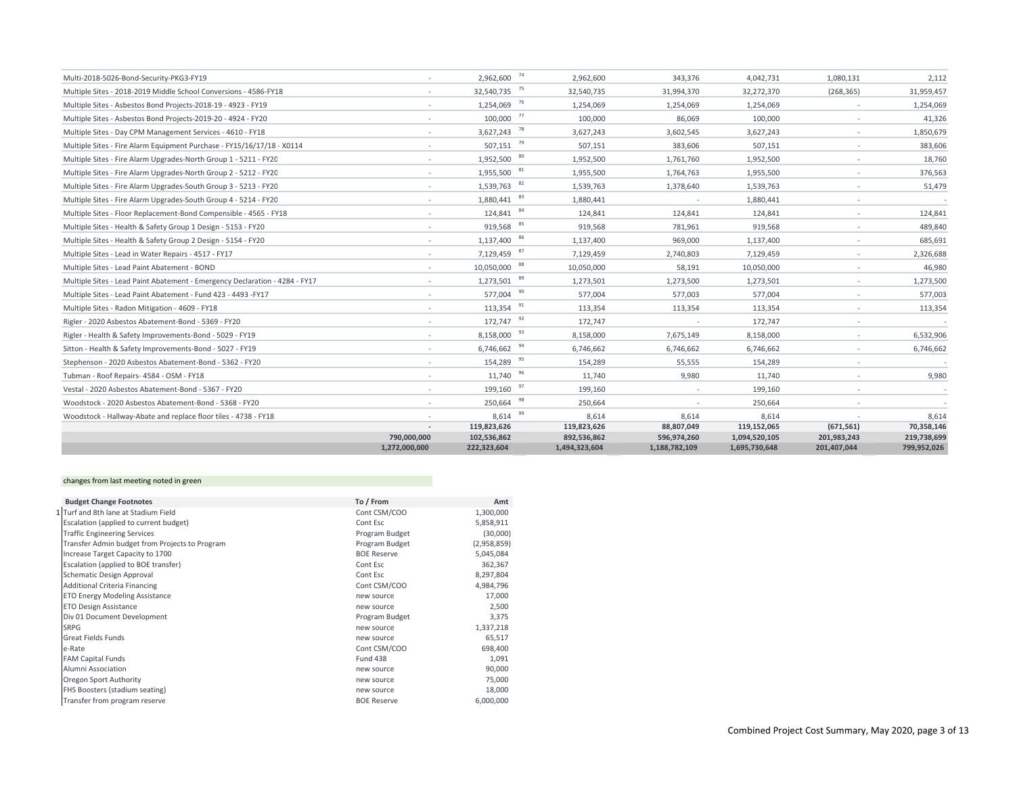| Multi-2018-5026-Bond-Security-PKG3-FY19                                     |                              | 2,962,600 74               | 2,962,600                    | 343,376                      | 4,042,731                      | 1,080,131                  | 2,112                      |
|-----------------------------------------------------------------------------|------------------------------|----------------------------|------------------------------|------------------------------|--------------------------------|----------------------------|----------------------------|
| Multiple Sites - 2018-2019 Middle School Conversions - 4586-FY18            | $\sim$                       | 32,540,735 75              | 32,540,735                   | 31,994,370                   | 32,272,370                     | (268, 365)                 | 31,959,457                 |
| Multiple Sites - Asbestos Bond Projects-2018-19 - 4923 - FY19               | $\sim$                       | 1,254,069 76               | 1,254,069                    | 1,254,069                    | 1,254,069                      | $\sim$                     | 1,254,069                  |
| Multiple Sites - Asbestos Bond Projects-2019-20 - 4924 - FY20               | $\sim$                       | 100,000 77                 | 100,000                      | 86,069                       | 100,000                        | $\sim$                     | 41,326                     |
| Multiple Sites - Day CPM Management Services - 4610 - FY18                  | $\sim$                       | 3,627,243                  | 78<br>3,627,243              | 3,602,545                    | 3,627,243                      | $\overline{\phantom{a}}$   | 1,850,679                  |
| Multiple Sites - Fire Alarm Equipment Purchase - FY15/16/17/18 - X0114      | $\sim$                       | $507,151$ <sup>79</sup>    | 507,151                      | 383,606                      | 507,151                        | $\sim$                     | 383,606                    |
| Multiple Sites - Fire Alarm Upgrades-North Group 1 - 5211 - FY20            | $\sim$                       | $1,952,500$ $80$           | 1,952,500                    | 1,761,760                    | 1,952,500                      | $\sim$                     | 18,760                     |
| Multiple Sites - Fire Alarm Upgrades-North Group 2 - 5212 - FY20            | $\sim$                       | 1,955,500                  | 81<br>1,955,500              | 1,764,763                    | 1,955,500                      | $\sim$                     | 376,563                    |
| Multiple Sites - Fire Alarm Upgrades-South Group 3 - 5213 - FY20            |                              | 1,539,763                  | 82<br>1,539,763              | 1,378,640                    | 1,539,763                      |                            | 51,479                     |
| Multiple Sites - Fire Alarm Upgrades-South Group 4 - 5214 - FY20            | $\sim$                       | 1,880,441                  | 83<br>1,880,441              |                              | 1,880,441                      | $\overline{\phantom{a}}$   |                            |
| Multiple Sites - Floor Replacement-Bond Compensible - 4565 - FY18           |                              | 124,841                    | 84<br>124.841                | 124,841                      | 124,841                        | $\sim$                     | 124,841                    |
| Multiple Sites - Health & Safety Group 1 Design - 5153 - FY20               | $\sim$                       | 919,568                    | 85<br>919,568                | 781,961                      | 919,568                        | $\sim$                     | 489,840                    |
| Multiple Sites - Health & Safety Group 2 Design - 5154 - FY20               | $\sim$                       | 86<br>1,137,400            | 1,137,400                    | 969,000                      | 1,137,400                      | $\overline{\phantom{a}}$   | 685,691                    |
| Multiple Sites - Lead in Water Repairs - 4517 - FY17                        | $\sim$                       | 7,129,459 87               | 7,129,459                    | 2,740,803                    | 7,129,459                      | $\sim$                     | 2,326,688                  |
| Multiple Sites - Lead Paint Abatement - BOND                                | $\sim$                       | 88<br>10,050,000           | 10,050,000                   | 58,191                       | 10,050,000                     | $\sim$                     | 46,980                     |
| Multiple Sites - Lead Paint Abatement - Emergency Declaration - 4284 - FY17 | $\sim$                       | 1,273,501                  | 89<br>1,273,501              | 1,273,500                    | 1,273,501                      | $\sim$                     | 1,273,500                  |
| Multiple Sites - Lead Paint Abatement - Fund 423 - 4493 - FY17              | $\sim$                       | 577,004                    | 90<br>577,004                | 577,003                      | 577,004                        | $\sim$                     | 577,003                    |
| Multiple Sites - Radon Mitigation - 4609 - FY18                             | $\sim$                       | 113,354                    | 91<br>113,354                | 113,354                      | 113,354                        | $\sim$                     | 113,354                    |
| Rigler - 2020 Asbestos Abatement-Bond - 5369 - FY20                         | $\sim$                       | 172,747 92                 | 172.747                      |                              | 172.747                        | $\sim$                     |                            |
| Rigler - Health & Safety Improvements-Bond - 5029 - FY19                    | $\sim$                       | 8,158,000 93               | 8,158,000                    | 7,675,149                    | 8,158,000                      | $\sim$                     | 6,532,906                  |
| Sitton - Health & Safety Improvements-Bond - 5027 - FY19                    | $\sim$                       | 6,746,662                  | 94<br>6,746,662              | 6,746,662                    | 6,746,662                      | ٠                          | 6,746,662                  |
| Stephenson - 2020 Asbestos Abatement-Bond - 5362 - FY20                     |                              | 154,289 95                 | 154,289                      | 55,555                       | 154,289                        |                            |                            |
| Tubman - Roof Repairs- 4584 - OSM - FY18                                    | $\sim$                       | 96<br>11,740               | 11,740                       | 9,980                        | 11,740                         | $\sim$                     | 9,980                      |
| Vestal - 2020 Asbestos Abatement-Bond - 5367 - FY20                         | $\sim$                       | 199,160                    | 97<br>199,160                |                              | 199,160                        | $\overline{\phantom{a}}$   |                            |
| Woodstock - 2020 Asbestos Abatement-Bond - 5368 - FY20                      | $\sim$                       | 250,664                    | 98<br>250,664                | $\overline{\phantom{a}}$     | 250,664                        |                            |                            |
| Woodstock - Hallway-Abate and replace floor tiles - 4738 - FY18             |                              | 8.614                      | 99<br>8,614                  | 8,614                        | 8,614                          |                            | 8,614                      |
|                                                                             | $\sim$                       | 119,823,626                | 119,823,626                  | 88,807,049                   | 119,152,065                    | (671, 561)                 | 70,358,146                 |
|                                                                             | 790,000,000<br>1,272,000,000 | 102,536,862<br>222,323,604 | 892,536,862<br>1,494,323,604 | 596,974,260<br>1,188,782,109 | 1,094,520,105<br>1,695,730,648 | 201,983,243<br>201,407,044 | 219,738,699<br>799,952,026 |
|                                                                             |                              |                            |                              |                              |                                |                            |                            |

## changes from last meeting noted in green

| <b>Budget Change Footnotes</b>                 | To / From          | Amt         |
|------------------------------------------------|--------------------|-------------|
| 1 Turf and 8th lane at Stadium Field           | Cont CSM/COO       | 1,300,000   |
| Escalation (applied to current budget)         | Cont Esc           | 5,858,911   |
| <b>Traffic Engineering Services</b>            | Program Budget     | (30,000)    |
| Transfer Admin budget from Projects to Program | Program Budget     | (2,958,859) |
| Increase Target Capacity to 1700               | <b>BOE Reserve</b> | 5,045,084   |
| Escalation (applied to BOE transfer)           | Cont Esc           | 362,367     |
| Schematic Design Approval                      | Cont Esc           | 8,297,804   |
| <b>Additional Criteria Financing</b>           | Cont CSM/COO       | 4,984,796   |
| <b>ETO Energy Modeling Assistance</b>          | new source         | 17,000      |
| <b>ETO Design Assistance</b>                   | new source         | 2,500       |
| Div 01 Document Development                    | Program Budget     | 3,375       |
| <b>SRPG</b>                                    | new source         | 1,337,218   |
| <b>Great Fields Funds</b>                      | new source         | 65,517      |
| e-Rate                                         | Cont CSM/COO       | 698,400     |
| <b>FAM Capital Funds</b>                       | <b>Fund 438</b>    | 1,091       |
| Alumni Association                             | new source         | 90,000      |
| Oregon Sport Authority                         | new source         | 75,000      |
| FHS Boosters (stadium seating)                 | new source         | 18,000      |
| Transfer from program reserve                  | <b>BOE Reserve</b> | 6,000,000   |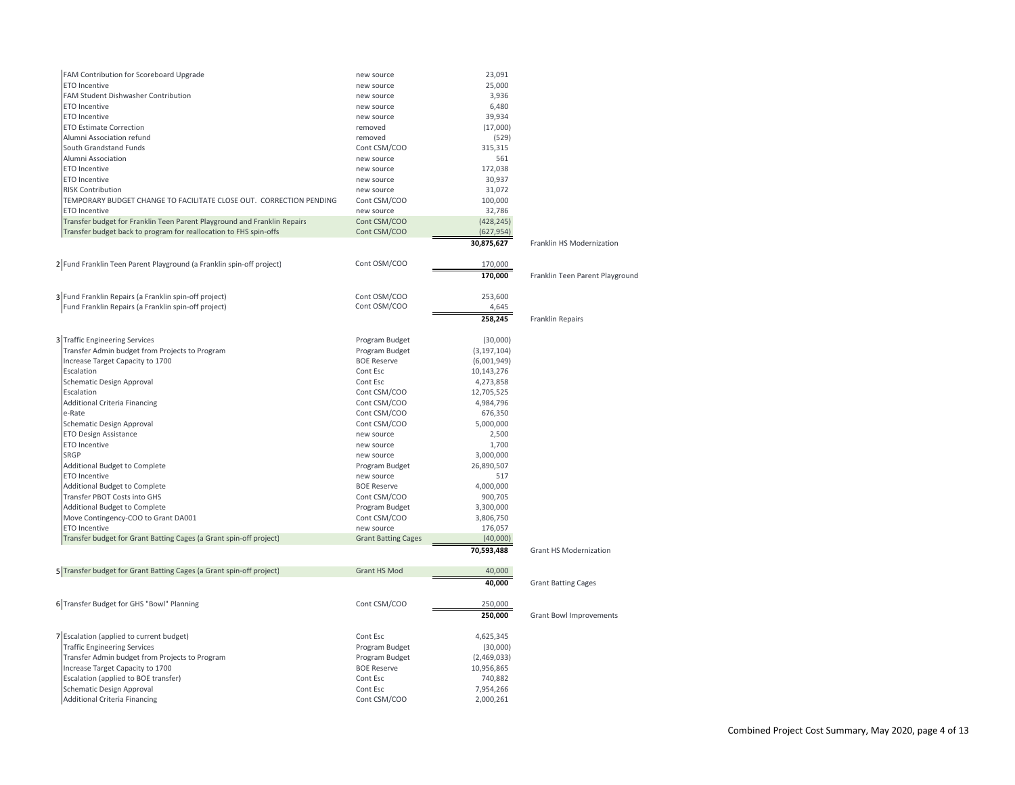| FAM Contribution for Scoreboard Upgrade                                  | new source                   | 23,091                  |                                 |
|--------------------------------------------------------------------------|------------------------------|-------------------------|---------------------------------|
| ETO Incentive                                                            | new source                   | 25,000                  |                                 |
| FAM Student Dishwasher Contribution                                      | new source                   | 3,936                   |                                 |
| ETO Incentive                                                            | new source                   | 6,480                   |                                 |
| ETO Incentive                                                            | new source                   | 39,934                  |                                 |
| <b>ETO Estimate Correction</b>                                           | removed                      | (17,000)                |                                 |
| Alumni Association refund                                                | removed                      | (529)                   |                                 |
| South Grandstand Funds                                                   | Cont CSM/COO                 | 315,315                 |                                 |
| Alumni Association                                                       | new source                   | 561                     |                                 |
| <b>ETO Incentive</b>                                                     | new source                   | 172,038                 |                                 |
| <b>ETO Incentive</b>                                                     | new source                   | 30,937                  |                                 |
| <b>RISK Contribution</b>                                                 | new source                   | 31,072                  |                                 |
| TEMPORARY BUDGET CHANGE TO FACILITATE CLOSE OUT. CORRECTION PENDING      | Cont CSM/COO                 | 100,000                 |                                 |
| ETO Incentive                                                            | new source                   | 32,786                  |                                 |
| Transfer budget for Franklin Teen Parent Playground and Franklin Repairs | Cont CSM/COO                 | (428, 245)              |                                 |
| Transfer budget back to program for reallocation to FHS spin-offs        | Cont CSM/COO                 | (627, 954)              |                                 |
|                                                                          |                              | 30,875,627              | Franklin HS Modernization       |
|                                                                          |                              |                         |                                 |
| 2 Fund Franklin Teen Parent Playground (a Franklin spin-off project)     | Cont OSM/COO                 | 170,000                 |                                 |
|                                                                          |                              | 170,000                 | Franklin Teen Parent Playground |
| 3 Fund Franklin Repairs (a Franklin spin-off project)                    | Cont OSM/COO                 | 253,600                 |                                 |
| Fund Franklin Repairs (a Franklin spin-off project)                      | Cont OSM/COO                 | 4,645                   |                                 |
|                                                                          |                              | 258,245                 | Franklin Repairs                |
|                                                                          |                              |                         |                                 |
| 3 Traffic Engineering Services                                           | Program Budget               | (30,000)                |                                 |
| Transfer Admin budget from Projects to Program                           | Program Budget               | (3, 197, 104)           |                                 |
| Increase Target Capacity to 1700                                         | <b>BOE Reserve</b>           | (6,001,949)             |                                 |
| Escalation                                                               | Cont Esc                     | 10,143,276              |                                 |
| Schematic Design Approval                                                | Cont Esc                     | 4,273,858               |                                 |
| Escalation                                                               | Cont CSM/COO                 | 12,705,525              |                                 |
| Additional Criteria Financing                                            | Cont CSM/COO                 | 4,984,796               |                                 |
| e-Rate                                                                   | Cont CSM/COO                 | 676,350                 |                                 |
| Schematic Design Approval                                                | Cont CSM/COO                 | 5,000,000               |                                 |
| <b>ETO Design Assistance</b><br><b>ETO Incentive</b>                     | new source                   | 2,500                   |                                 |
| SRGP                                                                     | new source                   | 1,700                   |                                 |
| Additional Budget to Complete                                            | new source<br>Program Budget | 3,000,000<br>26,890,507 |                                 |
| ETO Incentive                                                            | new source                   | 517                     |                                 |
| Additional Budget to Complete                                            | <b>BOE Reserve</b>           | 4,000,000               |                                 |
| Transfer PBOT Costs into GHS                                             | Cont CSM/COO                 | 900,705                 |                                 |
| Additional Budget to Complete                                            | Program Budget               | 3,300,000               |                                 |
| Move Contingency-COO to Grant DA001                                      | Cont CSM/COO                 | 3,806,750               |                                 |
| ETO Incentive                                                            | new source                   | 176,057                 |                                 |
| Transfer budget for Grant Batting Cages (a Grant spin-off project)       | <b>Grant Batting Cages</b>   | (40,000)                |                                 |
|                                                                          |                              | 70,593,488              | <b>Grant HS Modernization</b>   |
| 5 Transfer budget for Grant Batting Cages (a Grant spin-off project)     | Grant HS Mod                 | 40,000                  |                                 |
|                                                                          |                              | 40,000                  |                                 |
|                                                                          |                              |                         | <b>Grant Batting Cages</b>      |
| 6 Transfer Budget for GHS "Bowl" Planning                                | Cont CSM/COO                 | 250,000                 |                                 |
|                                                                          |                              | 250,000                 | <b>Grant Bowl Improvements</b>  |
| 7 Escalation (applied to current budget)                                 | Cont Esc                     | 4,625,345               |                                 |
| <b>Traffic Engineering Services</b>                                      | Program Budget               | (30,000)                |                                 |
| Transfer Admin budget from Projects to Program                           | Program Budget               | (2,469,033)             |                                 |
| Increase Target Capacity to 1700                                         | <b>BOE Reserve</b>           | 10,956,865              |                                 |
| Escalation (applied to BOE transfer)                                     | Cont Esc                     | 740,882                 |                                 |
| Schematic Design Approval                                                | Cont Esc                     | 7,954,266               |                                 |
| <b>Additional Criteria Financing</b>                                     | Cont CSM/COO                 | 2,000,261               |                                 |
|                                                                          |                              |                         |                                 |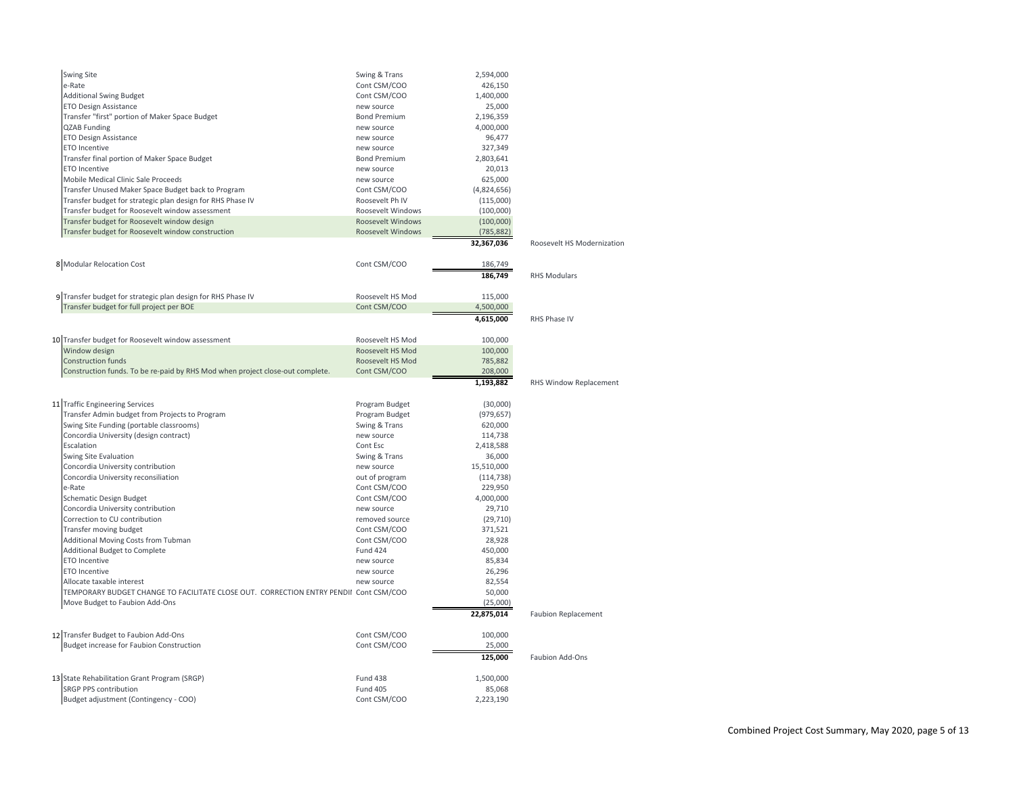| Swing Site                                                                            | Swing & Trans            | 2,594,000   |                            |
|---------------------------------------------------------------------------------------|--------------------------|-------------|----------------------------|
| e-Rate                                                                                | Cont CSM/COO             | 426,150     |                            |
| <b>Additional Swing Budget</b>                                                        | Cont CSM/COO             | 1,400,000   |                            |
| ETO Design Assistance                                                                 | new source               | 25,000      |                            |
| Transfer "first" portion of Maker Space Budget                                        | <b>Bond Premium</b>      | 2,196,359   |                            |
| <b>QZAB Funding</b>                                                                   | new source               | 4,000,000   |                            |
| <b>ETO Design Assistance</b>                                                          | new source               | 96,477      |                            |
| ETO Incentive                                                                         | new source               | 327,349     |                            |
| Transfer final portion of Maker Space Budget                                          | <b>Bond Premium</b>      | 2,803,641   |                            |
| <b>ETO Incentive</b>                                                                  | new source               | 20,013      |                            |
| Mobile Medical Clinic Sale Proceeds                                                   | new source               | 625,000     |                            |
| Transfer Unused Maker Space Budget back to Program                                    | Cont CSM/COO             | (4,824,656) |                            |
| Transfer budget for strategic plan design for RHS Phase IV                            | Roosevelt Ph IV          | (115,000)   |                            |
| Transfer budget for Roosevelt window assessment                                       | Roosevelt Windows        | (100,000)   |                            |
| Transfer budget for Roosevelt window design                                           | <b>Roosevelt Windows</b> | (100,000)   |                            |
| Transfer budget for Roosevelt window construction                                     | <b>Roosevelt Windows</b> | (785, 882)  |                            |
|                                                                                       |                          | 32,367,036  | Roosevelt HS Modernization |
| 8 Modular Relocation Cost                                                             | Cont CSM/COO             | 186,749     |                            |
|                                                                                       |                          | 186,749     | <b>RHS Modulars</b>        |
| 9 Transfer budget for strategic plan design for RHS Phase IV                          | Roosevelt HS Mod         | 115,000     |                            |
| Transfer budget for full project per BOE                                              | Cont CSM/COO             | 4,500,000   |                            |
|                                                                                       |                          | 4,615,000   | RHS Phase IV               |
|                                                                                       |                          |             |                            |
| 10 Transfer budget for Roosevelt window assessment                                    | Roosevelt HS Mod         | 100,000     |                            |
| Window design                                                                         | Roosevelt HS Mod         | 100,000     |                            |
| <b>Construction funds</b>                                                             | Roosevelt HS Mod         | 785,882     |                            |
| Construction funds. To be re-paid by RHS Mod when project close-out complete.         | Cont CSM/COO             | 208,000     |                            |
|                                                                                       |                          | 1,193,882   | RHS Window Replacement     |
| 11 Traffic Engineering Services                                                       | Program Budget           | (30,000)    |                            |
| Transfer Admin budget from Projects to Program                                        | Program Budget           | (979, 657)  |                            |
| Swing Site Funding (portable classrooms)                                              | Swing & Trans            | 620,000     |                            |
| Concordia University (design contract)                                                | new source               | 114,738     |                            |
| Escalation                                                                            | Cont Esc                 | 2,418,588   |                            |
| Swing Site Evaluation                                                                 | Swing & Trans            | 36,000      |                            |
| Concordia University contribution                                                     | new source               | 15,510,000  |                            |
| Concordia University reconsiliation                                                   | out of program           | (114, 738)  |                            |
| e-Rate                                                                                | Cont CSM/COO             | 229,950     |                            |
| Schematic Design Budget                                                               | Cont CSM/COO             | 4,000,000   |                            |
| Concordia University contribution                                                     | new source               | 29,710      |                            |
| Correction to CU contribution                                                         | removed source           | (29, 710)   |                            |
| Transfer moving budget                                                                | Cont CSM/COO             | 371,521     |                            |
| Additional Moving Costs from Tubman                                                   | Cont CSM/COO             | 28,928      |                            |
| Additional Budget to Complete                                                         | <b>Fund 424</b>          | 450,000     |                            |
| ETO Incentive                                                                         | new source               | 85,834      |                            |
| <b>ETO Incentive</b>                                                                  | new source               | 26,296      |                            |
| Allocate taxable interest                                                             | new source               | 82,554      |                            |
| TEMPORARY BUDGET CHANGE TO FACILITATE CLOSE OUT. CORRECTION ENTRY PENDII Cont CSM/COO |                          | 50,000      |                            |
| Move Budget to Faubion Add-Ons                                                        |                          | (25,000)    |                            |
|                                                                                       |                          | 22,875,014  | <b>Faubion Replacement</b> |
| 12 Transfer Budget to Faubion Add-Ons                                                 | Cont CSM/COO             | 100,000     |                            |
| <b>Budget increase for Faubion Construction</b>                                       | Cont CSM/COO             | 25,000      |                            |
|                                                                                       |                          | 125,000     | Faubion Add-Ons            |
| 13 State Rehabilitation Grant Program (SRGP)                                          | <b>Fund 438</b>          | 1,500,000   |                            |
| SRGP PPS contribution                                                                 | <b>Fund 405</b>          | 85,068      |                            |
| Budget adjustment (Contingency - COO)                                                 | Cont CSM/COO             | 2,223,190   |                            |
|                                                                                       |                          |             |                            |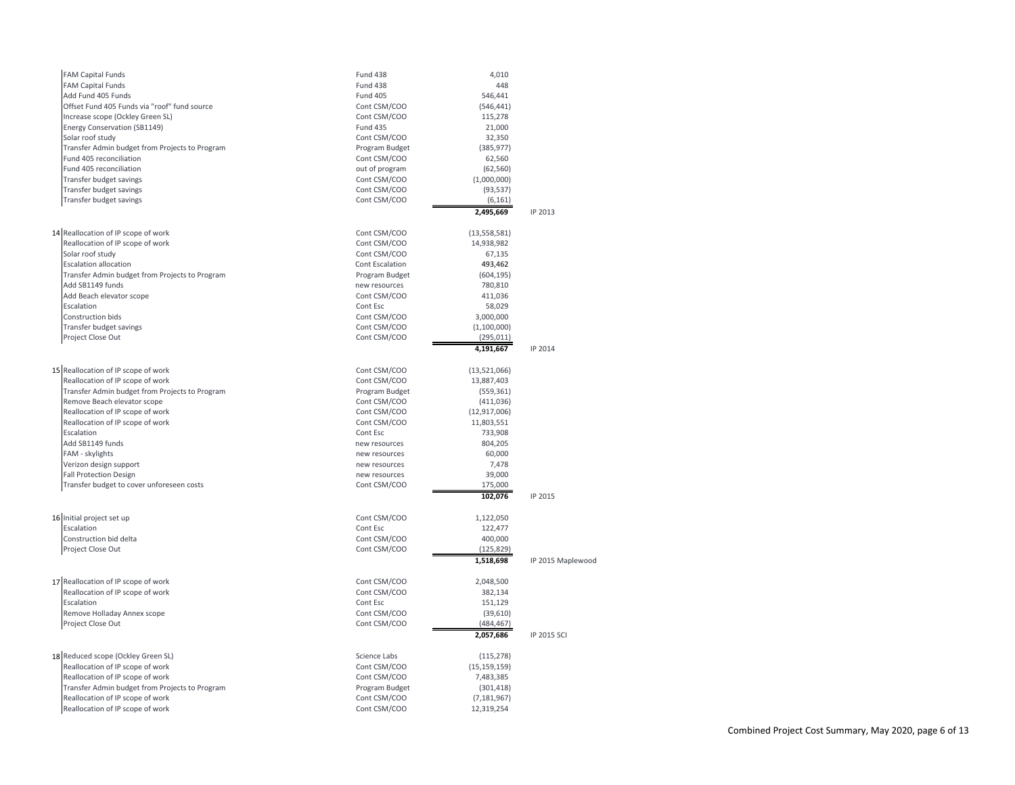| <b>FAM Capital Funds</b>                       | <b>Fund 438</b>          | 4,010              |                   |
|------------------------------------------------|--------------------------|--------------------|-------------------|
| <b>FAM Capital Funds</b>                       | Fund 438                 | 448                |                   |
| Add Fund 405 Funds                             | <b>Fund 405</b>          | 546,441            |                   |
| Offset Fund 405 Funds via "roof" fund source   | Cont CSM/COO             | (546, 441)         |                   |
| Increase scope (Ockley Green SL)               | Cont CSM/COO             | 115,278            |                   |
| Energy Conservation (SB1149)                   | <b>Fund 435</b>          | 21,000             |                   |
| Solar roof study                               | Cont CSM/COO             | 32,350             |                   |
| Transfer Admin budget from Projects to Program | Program Budget           | (385, 977)         |                   |
| Fund 405 reconciliation                        | Cont CSM/COO             | 62,560             |                   |
| Fund 405 reconciliation                        | out of program           | (62, 560)          |                   |
| Transfer budget savings                        | Cont CSM/COO             | (1,000,000)        |                   |
| Transfer budget savings                        | Cont CSM/COO             | (93, 537)          |                   |
| Transfer budget savings                        | Cont CSM/COO             | (6, 161)           |                   |
|                                                |                          | 2,495,669          | IP 2013           |
| 14 Reallocation of IP scope of work            | Cont CSM/COO             | (13, 558, 581)     |                   |
| Reallocation of IP scope of work               | Cont CSM/COO             | 14,938,982         |                   |
| Solar roof study                               | Cont CSM/COO             | 67,135             |                   |
| <b>Escalation allocation</b>                   | Cont Escalation          | 493,462            |                   |
| Transfer Admin budget from Projects to Program | Program Budget           | (604, 195)         |                   |
| Add SB1149 funds                               | new resources            | 780,810            |                   |
| Add Beach elevator scope                       | Cont CSM/COO             | 411,036            |                   |
| Escalation                                     | Cont Esc                 | 58,029             |                   |
| Construction bids                              | Cont CSM/COO             | 3,000,000          |                   |
| Transfer budget savings                        | Cont CSM/COO             | (1,100,000)        |                   |
| Project Close Out                              | Cont CSM/COO             | (295, 011)         |                   |
|                                                |                          | 4,191,667          | IP 2014           |
| 15 Reallocation of IP scope of work            | Cont CSM/COO             | (13,521,066)       |                   |
| Reallocation of IP scope of work               | Cont CSM/COO             | 13,887,403         |                   |
| Transfer Admin budget from Projects to Program | Program Budget           | (559, 361)         |                   |
| Remove Beach elevator scope                    | Cont CSM/COO             | (411, 036)         |                   |
| Reallocation of IP scope of work               | Cont CSM/COO             | (12, 917, 006)     |                   |
| Reallocation of IP scope of work               | Cont CSM/COO             | 11,803,551         |                   |
| Escalation                                     | Cont Esc                 | 733,908            |                   |
| Add SB1149 funds                               | new resources            | 804,205            |                   |
| FAM - skylights                                | new resources            | 60,000             |                   |
| Verizon design support                         | new resources            | 7,478              |                   |
| <b>Fall Protection Design</b>                  | new resources            | 39,000             |                   |
| Transfer budget to cover unforeseen costs      | Cont CSM/COO             | 175,000            |                   |
|                                                |                          | 102,076            | IP 2015           |
| 16 Initial project set up                      | Cont CSM/COO             | 1,122,050          |                   |
| Escalation                                     | Cont Esc                 | 122,477            |                   |
| Construction bid delta                         | Cont CSM/COO             | 400,000            |                   |
| Project Close Out                              | Cont CSM/COO             | (125, 829)         |                   |
|                                                |                          | 1,518,698          | IP 2015 Maplewood |
|                                                |                          |                    |                   |
| 17 Reallocation of IP scope of work            | Cont CSM/COO             | 2,048,500          |                   |
| Reallocation of IP scope of work<br>Escalation | Cont CSM/COO<br>Cont Esc | 382,134<br>151,129 |                   |
| Remove Holladay Annex scope                    | Cont CSM/COO             | (39,610)           |                   |
| Project Close Out                              | Cont CSM/COO             | (484, 467)         |                   |
|                                                |                          | 2,057,686          | IP 2015 SCI       |
|                                                |                          |                    |                   |
| 18 Reduced scope (Ockley Green SL)             | Science Labs             | (115, 278)         |                   |
| Reallocation of IP scope of work               | Cont CSM/COO             | (15, 159, 159)     |                   |
| Reallocation of IP scope of work               | Cont CSM/COO             | 7,483,385          |                   |
| Transfer Admin budget from Projects to Program | Program Budget           | (301, 418)         |                   |
| Reallocation of IP scope of work               | Cont CSM/COO             | (7, 181, 967)      |                   |
| Reallocation of IP scope of work               | Cont CSM/COO             | 12,319,254         |                   |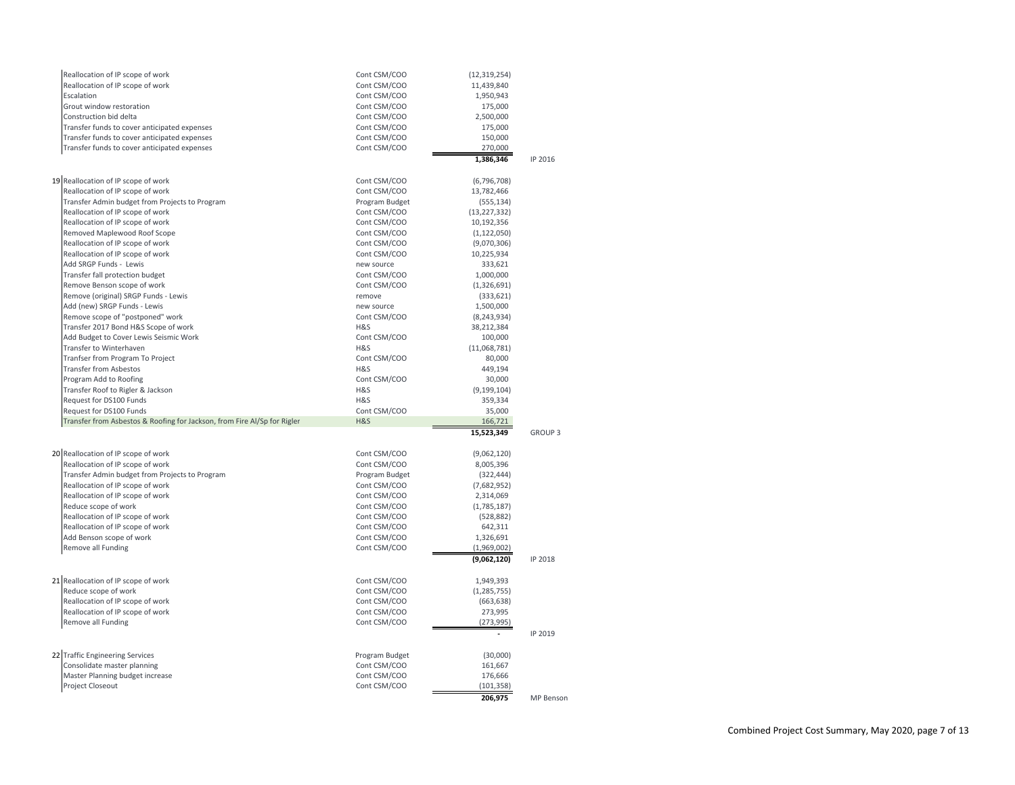| Reallocation of IP scope of work                         |                                                                          | Cont CSM/COO                   | (12, 319, 254)           |                  |  |
|----------------------------------------------------------|--------------------------------------------------------------------------|--------------------------------|--------------------------|------------------|--|
| Reallocation of IP scope of work                         |                                                                          | Cont CSM/COO                   | 11,439,840               |                  |  |
| Escalation                                               |                                                                          | Cont CSM/COO                   | 1,950,943                |                  |  |
| Grout window restoration                                 |                                                                          | Cont CSM/COO                   | 175,000                  |                  |  |
| Construction bid delta                                   |                                                                          | Cont CSM/COO                   | 2,500,000                |                  |  |
|                                                          | Transfer funds to cover anticipated expenses                             | Cont CSM/COO                   | 175,000                  |                  |  |
|                                                          | Transfer funds to cover anticipated expenses                             | Cont CSM/COO                   | 150,000                  |                  |  |
|                                                          | Transfer funds to cover anticipated expenses                             | Cont CSM/COO                   | 270,000                  |                  |  |
|                                                          |                                                                          |                                | 1,386,346                | IP 2016          |  |
|                                                          |                                                                          |                                |                          |                  |  |
| 19 Reallocation of IP scope of work                      |                                                                          | Cont CSM/COO                   | (6,796,708)              |                  |  |
| Reallocation of IP scope of work                         |                                                                          | Cont CSM/COO                   | 13,782,466               |                  |  |
|                                                          | Transfer Admin budget from Projects to Program                           | Program Budget                 | (555, 134)               |                  |  |
| Reallocation of IP scope of work                         |                                                                          | Cont CSM/COO                   | (13, 227, 332)           |                  |  |
| Reallocation of IP scope of work                         |                                                                          | Cont CSM/COO                   | 10,192,356               |                  |  |
| Removed Maplewood Roof Scope                             |                                                                          | Cont CSM/COO                   | (1, 122, 050)            |                  |  |
| Reallocation of IP scope of work                         |                                                                          | Cont CSM/COO                   | (9,070,306)              |                  |  |
| Reallocation of IP scope of work                         |                                                                          | Cont CSM/COO                   | 10,225,934               |                  |  |
| Add SRGP Funds - Lewis                                   |                                                                          | new source                     | 333,621                  |                  |  |
| Transfer fall protection budget                          |                                                                          | Cont CSM/COO                   | 1,000,000                |                  |  |
| Remove Benson scope of work                              |                                                                          | Cont CSM/COO                   | (1,326,691)              |                  |  |
|                                                          | Remove (original) SRGP Funds - Lewis                                     | remove                         | (333, 621)               |                  |  |
| Add (new) SRGP Funds - Lewis                             |                                                                          | new source                     | 1,500,000                |                  |  |
|                                                          | Remove scope of "postponed" work                                         | Cont CSM/COO                   | (8, 243, 934)            |                  |  |
|                                                          | Transfer 2017 Bond H&S Scope of work                                     | H&S                            | 38,212,384               |                  |  |
|                                                          | Add Budget to Cover Lewis Seismic Work                                   | Cont CSM/COO                   | 100,000                  |                  |  |
| Transfer to Winterhaven                                  |                                                                          | H&S                            | (11,068,781)             |                  |  |
| Tranfser from Program To Project                         |                                                                          | Cont CSM/COO                   | 80,000                   |                  |  |
| <b>Transfer from Asbestos</b>                            |                                                                          | H&S                            | 449,194                  |                  |  |
| Program Add to Roofing                                   |                                                                          | Cont CSM/COO                   | 30,000                   |                  |  |
|                                                          |                                                                          |                                |                          |                  |  |
| Transfer Roof to Rigler & Jackson                        |                                                                          | H&S                            | (9, 199, 104)            |                  |  |
| Request for DS100 Funds                                  |                                                                          | H&S                            | 359,334                  |                  |  |
| Request for DS100 Funds                                  |                                                                          | Cont CSM/COO                   | 35,000                   |                  |  |
|                                                          | Transfer from Asbestos & Roofing for Jackson, from Fire Al/Sp for Rigler | H&S                            | 166,721                  |                  |  |
|                                                          |                                                                          |                                | 15.523.349               | <b>GROUP 3</b>   |  |
|                                                          |                                                                          |                                |                          |                  |  |
| 20 Reallocation of IP scope of work                      |                                                                          | Cont CSM/COO                   | (9,062,120)              |                  |  |
| Reallocation of IP scope of work                         |                                                                          | Cont CSM/COO                   | 8,005,396                |                  |  |
| Reallocation of IP scope of work                         | Transfer Admin budget from Projects to Program                           | Program Budget<br>Cont CSM/COO | (322, 444)               |                  |  |
|                                                          |                                                                          |                                | (7,682,952)              |                  |  |
| Reallocation of IP scope of work<br>Reduce scope of work |                                                                          | Cont CSM/COO<br>Cont CSM/COO   | 2,314,069<br>(1,785,187) |                  |  |
| Reallocation of IP scope of work                         |                                                                          | Cont CSM/COO                   | (528, 882)               |                  |  |
| Reallocation of IP scope of work                         |                                                                          | Cont CSM/COO                   | 642,311                  |                  |  |
| Add Benson scope of work                                 |                                                                          | Cont CSM/COO                   | 1,326,691                |                  |  |
| Remove all Funding                                       |                                                                          | Cont CSM/COO                   | (1,969,002)              |                  |  |
|                                                          |                                                                          |                                | (9,062,120)              | IP 2018          |  |
|                                                          |                                                                          |                                |                          |                  |  |
| 21 Reallocation of IP scope of work                      |                                                                          | Cont CSM/COO                   | 1,949,393                |                  |  |
| Reduce scope of work                                     |                                                                          | Cont CSM/COO                   | (1, 285, 755)            |                  |  |
| Reallocation of IP scope of work                         |                                                                          | Cont CSM/COO                   | (663, 638)               |                  |  |
| Reallocation of IP scope of work                         |                                                                          | Cont CSM/COO                   | 273,995                  |                  |  |
| Remove all Funding                                       |                                                                          | Cont CSM/COO                   | (273, 995)               |                  |  |
|                                                          |                                                                          |                                |                          | IP 2019          |  |
|                                                          |                                                                          |                                |                          |                  |  |
| 22 Traffic Engineering Services                          |                                                                          | Program Budget                 | (30,000)                 |                  |  |
| Consolidate master planning                              |                                                                          | Cont CSM/COO                   | 161,667                  |                  |  |
| Master Planning budget increase                          |                                                                          | Cont CSM/COO                   | 176,666                  |                  |  |
| Project Closeout                                         |                                                                          | Cont CSM/COO                   | (101, 358)<br>206,975    | <b>MP Benson</b> |  |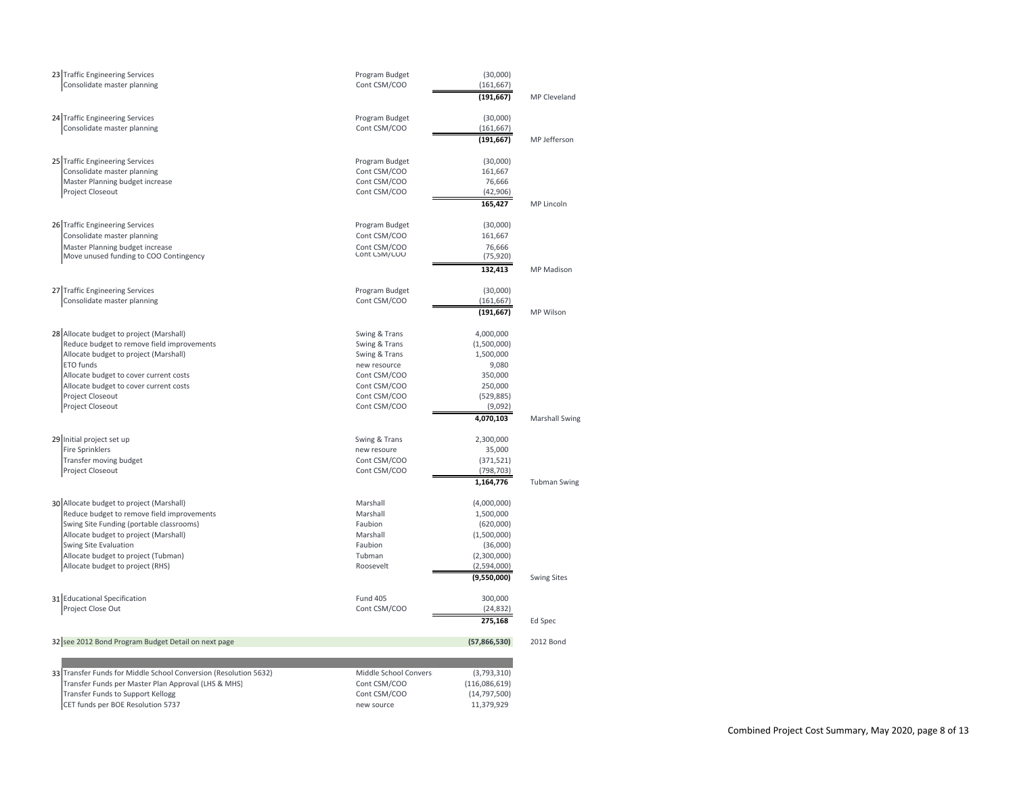| 23 Traffic Engineering Services<br>Consolidate master planning                    | Program Budget<br>Cont CSM/COO | (30,000)<br>(161, 667)   |                       |
|-----------------------------------------------------------------------------------|--------------------------------|--------------------------|-----------------------|
|                                                                                   |                                | (191, 667)               | MP Cleveland          |
| 24 Traffic Engineering Services                                                   | Program Budget                 | (30,000)                 |                       |
| Consolidate master planning                                                       | Cont CSM/COO                   | (161, 667)               |                       |
|                                                                                   |                                | (191, 667)               | MP Jefferson          |
| 25 Traffic Engineering Services                                                   | Program Budget                 | (30,000)                 |                       |
| Consolidate master planning                                                       | Cont CSM/COO                   | 161,667                  |                       |
| Master Planning budget increase                                                   | Cont CSM/COO                   | 76,666                   |                       |
| Project Closeout                                                                  | Cont CSM/COO                   | (42, 906)                |                       |
|                                                                                   |                                | 165,427                  | MP Lincoln            |
| 26 Traffic Engineering Services                                                   | Program Budget                 | (30,000)                 |                       |
| Consolidate master planning                                                       | Cont CSM/COO                   | 161,667                  |                       |
| Master Planning budget increase                                                   | Cont CSM/COO<br>Cont CSM/COO   | 76,666                   |                       |
| Move unused funding to COO Contingency                                            |                                | (75, 920)                |                       |
|                                                                                   |                                | 132,413                  | <b>MP</b> Madison     |
| 27 Traffic Engineering Services                                                   | Program Budget                 | (30,000)                 |                       |
| Consolidate master planning                                                       | Cont CSM/COO                   | (161, 667)               |                       |
|                                                                                   |                                | (191, 667)               | MP Wilson             |
| 28 Allocate budget to project (Marshall)                                          | Swing & Trans                  | 4,000,000                |                       |
| Reduce budget to remove field improvements                                        | Swing & Trans                  | (1,500,000)              |                       |
| Allocate budget to project (Marshall)                                             | Swing & Trans                  | 1,500,000                |                       |
| ETO funds                                                                         | new resource                   | 9,080                    |                       |
| Allocate budget to cover current costs                                            | Cont CSM/COO                   | 350,000                  |                       |
| Allocate budget to cover current costs                                            | Cont CSM/COO                   | 250,000                  |                       |
| Project Closeout<br>Project Closeout                                              | Cont CSM/COO<br>Cont CSM/COO   | (529, 885)<br>(9,092)    |                       |
|                                                                                   |                                | 4,070,103                | <b>Marshall Swing</b> |
|                                                                                   |                                |                          |                       |
| 29 Initial project set up                                                         | Swing & Trans                  | 2,300,000                |                       |
| <b>Fire Sprinklers</b>                                                            | new resoure                    | 35,000                   |                       |
| Transfer moving budget<br>Project Closeout                                        | Cont CSM/COO<br>Cont CSM/COO   | (371, 521)               |                       |
|                                                                                   |                                | (798, 703)<br>1,164,776  | <b>Tubman Swing</b>   |
|                                                                                   |                                |                          |                       |
| 30 Allocate budget to project (Marshall)                                          | Marshall                       | (4,000,000)              |                       |
| Reduce budget to remove field improvements                                        | Marshall                       | 1,500,000                |                       |
| Swing Site Funding (portable classrooms)<br>Allocate budget to project (Marshall) | Faubion<br>Marshall            | (620,000)<br>(1,500,000) |                       |
| Swing Site Evaluation                                                             | Faubion                        | (36,000)                 |                       |
| Allocate budget to project (Tubman)                                               | Tubman                         | (2,300,000)              |                       |
| Allocate budget to project (RHS)                                                  | Roosevelt                      | (2,594,000)              |                       |
|                                                                                   |                                | (9,550,000)              | <b>Swing Sites</b>    |
| 31 Educational Specification                                                      | <b>Fund 405</b>                | 300,000                  |                       |
| Project Close Out                                                                 | Cont CSM/COO                   | (24, 832)                |                       |
|                                                                                   |                                | 275,168                  | Ed Spec               |
| 32 see 2012 Bond Program Budget Detail on next page                               |                                | (57,866,530)             | 2012 Bond             |
|                                                                                   |                                |                          |                       |
| 33 Transfer Funds for Middle School Conversion (Resolution 5632)                  | Middle School Convers          | (3,793,310)              |                       |
| Transfer Funds per Master Plan Approval (LHS & MHS)                               | Cont CSM/COO                   | (116,086,619)            |                       |
| Transfer Funds to Support Kellogg                                                 | Cont CSM/COO                   | (14, 797, 500)           |                       |
| CET funds per BOE Resolution 5737                                                 | new source                     | 11,379,929               |                       |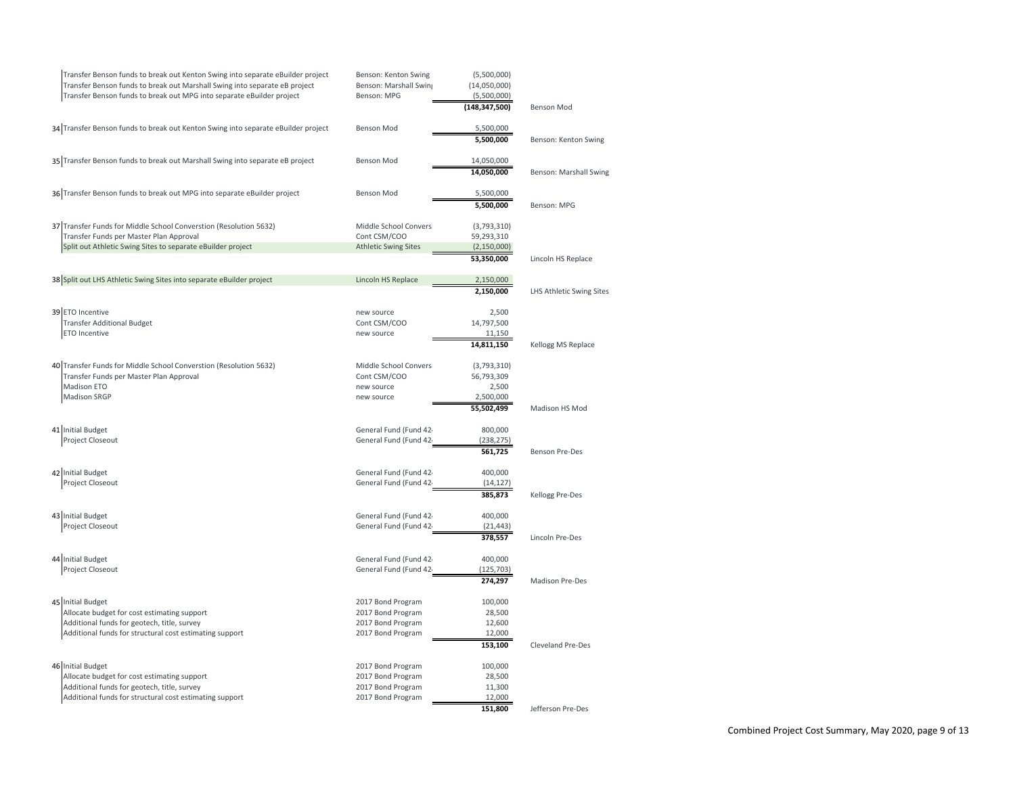| Transfer Benson funds to break out Kenton Swing into separate eBuilder project<br>Transfer Benson funds to break out Marshall Swing into separate eB project<br>Transfer Benson funds to break out MPG into separate eBuilder project | Benson: Kenton Swing<br>Benson: Marshall Swing<br>Benson: MPG | (5,500,000)<br>(14,050,000)<br>(5,500,000) |                          |
|---------------------------------------------------------------------------------------------------------------------------------------------------------------------------------------------------------------------------------------|---------------------------------------------------------------|--------------------------------------------|--------------------------|
|                                                                                                                                                                                                                                       |                                                               | (148, 347, 500)                            | Benson Mod               |
| 34 Transfer Benson funds to break out Kenton Swing into separate eBuilder project                                                                                                                                                     | Benson Mod                                                    | 5,500,000                                  |                          |
|                                                                                                                                                                                                                                       |                                                               | 5,500,000                                  | Benson: Kenton Swing     |
| 35 Transfer Benson funds to break out Marshall Swing into separate eB project                                                                                                                                                         | <b>Benson Mod</b>                                             | 14,050,000                                 |                          |
|                                                                                                                                                                                                                                       |                                                               | 14,050,000                                 | Benson: Marshall Swing   |
| 36 Transfer Benson funds to break out MPG into separate eBuilder project                                                                                                                                                              | <b>Benson Mod</b>                                             | 5,500,000                                  |                          |
|                                                                                                                                                                                                                                       |                                                               | 5,500,000                                  | Benson: MPG              |
| 37 Transfer Funds for Middle School Converstion (Resolution 5632)                                                                                                                                                                     | Middle School Convers                                         | (3,793,310)                                |                          |
| Transfer Funds per Master Plan Approval                                                                                                                                                                                               | Cont CSM/COO                                                  | 59,293,310                                 |                          |
| Split out Athletic Swing Sites to separate eBuilder project                                                                                                                                                                           | <b>Athletic Swing Sites</b>                                   | (2, 150, 000)                              |                          |
|                                                                                                                                                                                                                                       |                                                               | 53,350,000                                 | Lincoln HS Replace       |
| 38 Split out LHS Athletic Swing Sites into separate eBuilder project                                                                                                                                                                  | Lincoln HS Replace                                            | 2,150,000                                  |                          |
|                                                                                                                                                                                                                                       |                                                               | 2,150,000                                  | LHS Athletic Swing Sites |
| 39 ETO Incentive                                                                                                                                                                                                                      | new source                                                    | 2,500                                      |                          |
| <b>Transfer Additional Budget</b>                                                                                                                                                                                                     | Cont CSM/COO                                                  | 14,797,500                                 |                          |
| <b>ETO Incentive</b>                                                                                                                                                                                                                  | new source                                                    | 11,150                                     |                          |
|                                                                                                                                                                                                                                       |                                                               | 14,811,150                                 | Kellogg MS Replace       |
| 40 Transfer Funds for Middle School Converstion (Resolution 5632)                                                                                                                                                                     | Middle School Convers                                         | (3,793,310)                                |                          |
| Transfer Funds per Master Plan Approval                                                                                                                                                                                               | Cont CSM/COO                                                  | 56,793,309                                 |                          |
| Madison ETO                                                                                                                                                                                                                           | new source                                                    | 2,500                                      |                          |
| Madison SRGP                                                                                                                                                                                                                          | new source                                                    | 2,500,000<br>55,502,499                    | Madison HS Mod           |
|                                                                                                                                                                                                                                       |                                                               |                                            |                          |
| 41 Initial Budget<br>Project Closeout                                                                                                                                                                                                 | General Fund (Fund 42<br>General Fund (Fund 42                | 800,000<br>(238, 275)                      |                          |
|                                                                                                                                                                                                                                       |                                                               | 561,725                                    | <b>Benson Pre-Des</b>    |
|                                                                                                                                                                                                                                       |                                                               |                                            |                          |
| 42 Initial Budget<br>Project Closeout                                                                                                                                                                                                 | General Fund (Fund 42<br>General Fund (Fund 42                | 400.000<br>(14, 127)                       |                          |
|                                                                                                                                                                                                                                       |                                                               | 385.873                                    | Kellogg Pre-Des          |
| 43 Initial Budget                                                                                                                                                                                                                     | General Fund (Fund 42                                         | 400,000                                    |                          |
| Project Closeout                                                                                                                                                                                                                      | General Fund (Fund 42                                         | (21, 443)                                  |                          |
|                                                                                                                                                                                                                                       |                                                               | 378,557                                    | Lincoln Pre-Des          |
| 44 Initial Budget                                                                                                                                                                                                                     | General Fund (Fund 42                                         | 400,000                                    |                          |
| Project Closeout                                                                                                                                                                                                                      | General Fund (Fund 42                                         | (125, 703)                                 |                          |
|                                                                                                                                                                                                                                       |                                                               | 274,297                                    | <b>Madison Pre-Des</b>   |
| 45 Initial Budget                                                                                                                                                                                                                     | 2017 Bond Program                                             | 100,000                                    |                          |
| Allocate budget for cost estimating support                                                                                                                                                                                           | 2017 Bond Program                                             | 28,500                                     |                          |
| Additional funds for geotech, title, survey                                                                                                                                                                                           | 2017 Bond Program                                             | 12,600                                     |                          |
| Additional funds for structural cost estimating support                                                                                                                                                                               | 2017 Bond Program                                             | 12,000                                     |                          |
|                                                                                                                                                                                                                                       |                                                               | 153,100                                    | <b>Cleveland Pre-Des</b> |
| 46 Initial Budget                                                                                                                                                                                                                     | 2017 Bond Program                                             | 100,000                                    |                          |
| Allocate budget for cost estimating support                                                                                                                                                                                           | 2017 Bond Program                                             | 28,500                                     |                          |
| Additional funds for geotech, title, survey<br>Additional funds for structural cost estimating support                                                                                                                                | 2017 Bond Program<br>2017 Bond Program                        | 11,300<br>12,000                           |                          |
|                                                                                                                                                                                                                                       |                                                               | 151,800                                    | Jefferson Pre-Des        |
|                                                                                                                                                                                                                                       |                                                               |                                            |                          |

Combined Project Cost Summary, May 2020, page 9 of 13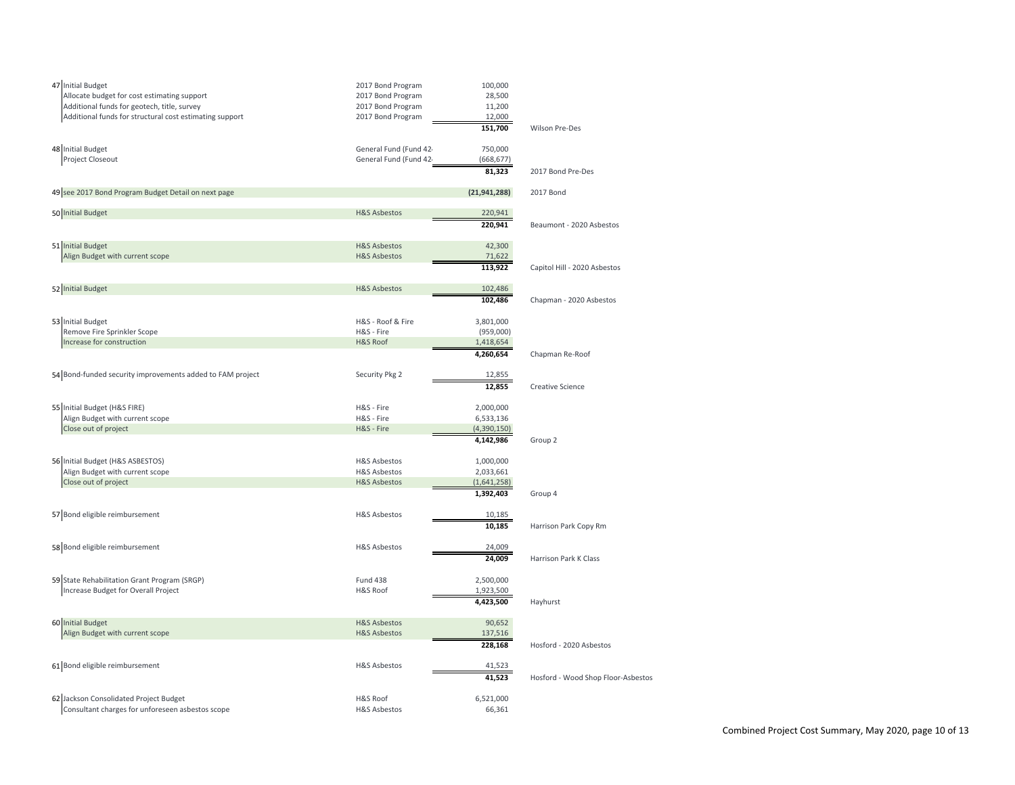| 47 Initial Budget<br>Allocate budget for cost estimating support<br>Additional funds for geotech, title, survey<br>Additional funds for structural cost estimating support | 2017 Bond Program<br>2017 Bond Program<br>2017 Bond Program<br>2017 Bond Program | 100,000<br>28,500<br>11,200<br>12,000 |                                    |
|----------------------------------------------------------------------------------------------------------------------------------------------------------------------------|----------------------------------------------------------------------------------|---------------------------------------|------------------------------------|
|                                                                                                                                                                            |                                                                                  | 151,700                               | Wilson Pre-Des                     |
| 48 Initial Budget<br>Project Closeout                                                                                                                                      | General Fund (Fund 42<br>General Fund (Fund 42                                   | 750,000<br>(668, 677)<br>81,323       | 2017 Bond Pre-Des                  |
|                                                                                                                                                                            |                                                                                  |                                       |                                    |
| 49 see 2017 Bond Program Budget Detail on next page                                                                                                                        |                                                                                  | (21, 941, 288)                        | 2017 Bond                          |
| 50 Initial Budget                                                                                                                                                          | <b>H&amp;S Asbestos</b>                                                          | 220,941                               |                                    |
|                                                                                                                                                                            |                                                                                  | 220,941                               | Beaumont - 2020 Asbestos           |
| 51 Initial Budget                                                                                                                                                          | <b>H&amp;S Asbestos</b>                                                          | 42,300                                |                                    |
| Align Budget with current scope                                                                                                                                            | <b>H&amp;S Asbestos</b>                                                          | 71,622<br>113,922                     | Capitol Hill - 2020 Asbestos       |
|                                                                                                                                                                            | <b>H&amp;S Asbestos</b>                                                          | 102,486                               |                                    |
| 52 Initial Budget                                                                                                                                                          |                                                                                  | 102,486                               | Chapman - 2020 Asbestos            |
| 53 Initial Budget                                                                                                                                                          | H&S - Roof & Fire                                                                | 3,801,000                             |                                    |
| Remove Fire Sprinkler Scope                                                                                                                                                | H&S - Fire                                                                       | (959,000)                             |                                    |
| Increase for construction                                                                                                                                                  | <b>H&amp;S Roof</b>                                                              | 1,418,654                             |                                    |
|                                                                                                                                                                            |                                                                                  | 4,260,654                             | Chapman Re-Roof                    |
| 54 Bond-funded security improvements added to FAM project                                                                                                                  | Security Pkg 2                                                                   | 12,855                                |                                    |
|                                                                                                                                                                            |                                                                                  | 12,855                                | Creative Science                   |
| 55 Initial Budget (H&S FIRE)                                                                                                                                               | H&S - Fire                                                                       | 2,000,000                             |                                    |
| Align Budget with current scope                                                                                                                                            | H&S - Fire                                                                       | 6,533,136                             |                                    |
| Close out of project                                                                                                                                                       | H&S - Fire                                                                       | (4,390,150)                           |                                    |
|                                                                                                                                                                            |                                                                                  | 4,142,986                             | Group 2                            |
| 56 Initial Budget (H&S ASBESTOS)                                                                                                                                           | H&S Asbestos                                                                     | 1,000,000                             |                                    |
| Align Budget with current scope                                                                                                                                            | <b>H&amp;S Asbestos</b>                                                          | 2,033,661                             |                                    |
| Close out of project                                                                                                                                                       | <b>H&amp;S Asbestos</b>                                                          | (1,641,258)                           |                                    |
|                                                                                                                                                                            |                                                                                  | 1,392,403                             | Group 4                            |
| 57 Bond eligible reimbursement                                                                                                                                             | <b>H&amp;S Asbestos</b>                                                          | 10,185                                |                                    |
|                                                                                                                                                                            |                                                                                  | 10,185                                | Harrison Park Copy Rm              |
| 58 Bond eligible reimbursement                                                                                                                                             | <b>H&amp;S Asbestos</b>                                                          | 24,009                                |                                    |
|                                                                                                                                                                            |                                                                                  | 24,009                                | Harrison Park K Class              |
| 59 State Rehabilitation Grant Program (SRGP)                                                                                                                               | <b>Fund 438</b>                                                                  | 2,500,000                             |                                    |
| Increase Budget for Overall Project                                                                                                                                        | H&S Roof                                                                         | 1,923,500<br>4,423,500                | Hayhurst                           |
|                                                                                                                                                                            |                                                                                  |                                       |                                    |
| 60 Initial Budget                                                                                                                                                          | <b>H&amp;S Asbestos</b>                                                          | 90,652                                |                                    |
| Align Budget with current scope                                                                                                                                            | <b>H&amp;S Asbestos</b>                                                          | 137,516                               | Hosford - 2020 Asbestos            |
|                                                                                                                                                                            |                                                                                  | 228,168                               |                                    |
| 61 Bond eligible reimbursement                                                                                                                                             | <b>H&amp;S Asbestos</b>                                                          | 41,523                                |                                    |
|                                                                                                                                                                            |                                                                                  | 41,523                                | Hosford - Wood Shop Floor-Asbestos |
| 62 Jackson Consolidated Project Budget                                                                                                                                     | H&S Roof                                                                         | 6,521,000                             |                                    |
| Consultant charges for unforeseen asbestos scope                                                                                                                           | <b>H&amp;S Asbestos</b>                                                          | 66,361                                |                                    |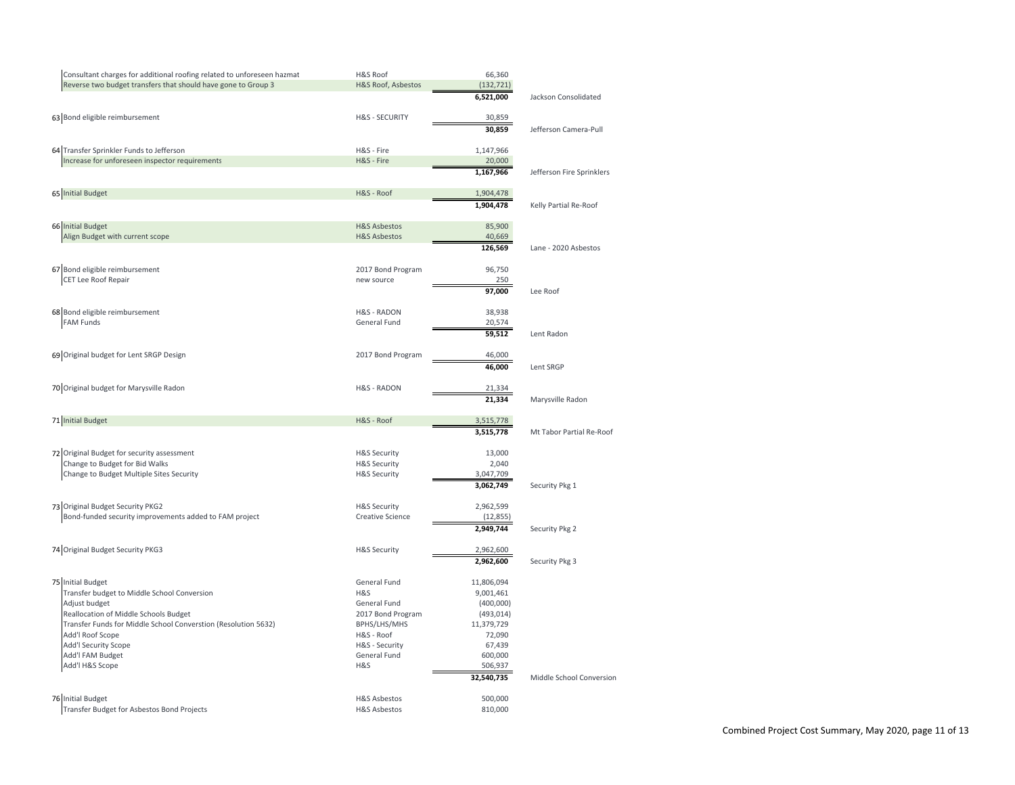| Consultant charges for additional roofing related to unforeseen hazmat<br>Reverse two budget transfers that should have gone to Group 3 | H&S Roof<br>H&S Roof, Asbestos    | 66,360<br>(132, 721)     |                           |
|-----------------------------------------------------------------------------------------------------------------------------------------|-----------------------------------|--------------------------|---------------------------|
|                                                                                                                                         |                                   | 6,521,000                | Jackson Consolidated      |
| 63 Bond eligible reimbursement                                                                                                          | <b>H&amp;S - SECURITY</b>         | 30,859                   |                           |
|                                                                                                                                         |                                   | 30,859                   | Jefferson Camera-Pull     |
| 64 Transfer Sprinkler Funds to Jefferson                                                                                                | H&S - Fire                        | 1,147,966                |                           |
| Increase for unforeseen inspector requirements                                                                                          | H&S - Fire                        | 20,000                   |                           |
|                                                                                                                                         |                                   | 1,167,966                | Jefferson Fire Sprinklers |
| 65 Initial Budget                                                                                                                       | H&S - Roof                        | 1,904,478                |                           |
|                                                                                                                                         |                                   | 1,904,478                | Kelly Partial Re-Roof     |
| 66 Initial Budget                                                                                                                       | <b>H&amp;S Asbestos</b>           | 85,900                   |                           |
| Align Budget with current scope                                                                                                         | <b>H&amp;S Asbestos</b>           | 40,669                   |                           |
|                                                                                                                                         |                                   | 126,569                  | Lane - 2020 Asbestos      |
| 67 Bond eligible reimbursement                                                                                                          | 2017 Bond Program                 | 96,750                   |                           |
| CET Lee Roof Repair                                                                                                                     | new source                        | 250                      |                           |
|                                                                                                                                         |                                   | 97,000                   | Lee Roof                  |
| 68 Bond eligible reimbursement                                                                                                          | <b>H&amp;S - RADON</b>            | 38,938                   |                           |
| <b>FAM Funds</b>                                                                                                                        | General Fund                      | 20,574                   |                           |
|                                                                                                                                         |                                   | 59,512                   | Lent Radon                |
| 69 Original budget for Lent SRGP Design                                                                                                 | 2017 Bond Program                 | 46,000                   |                           |
|                                                                                                                                         |                                   | 46,000                   | Lent SRGP                 |
| 70 Original budget for Marysville Radon                                                                                                 | <b>H&amp;S - RADON</b>            | 21,334                   |                           |
|                                                                                                                                         |                                   | 21,334                   | Marysville Radon          |
| 71 Initial Budget                                                                                                                       | H&S - Roof                        | 3,515,778                |                           |
|                                                                                                                                         |                                   | 3,515,778                | Mt Tabor Partial Re-Roof  |
| 72 Original Budget for security assessment                                                                                              | <b>H&amp;S Security</b>           | 13,000                   |                           |
| Change to Budget for Bid Walks                                                                                                          | <b>H&amp;S Security</b>           | 2,040                    |                           |
| Change to Budget Multiple Sites Security                                                                                                | <b>H&amp;S Security</b>           | 3,047,709                |                           |
|                                                                                                                                         |                                   | 3,062,749                | Security Pkg 1            |
| 73 Original Budget Security PKG2                                                                                                        | <b>H&amp;S Security</b>           | 2,962,599                |                           |
| Bond-funded security improvements added to FAM project                                                                                  | <b>Creative Science</b>           | (12, 855)                |                           |
|                                                                                                                                         |                                   | 2,949,744                | Security Pkg 2            |
| 74 Original Budget Security PKG3                                                                                                        | <b>H&amp;S Security</b>           | 2,962,600                |                           |
|                                                                                                                                         |                                   | 2,962,600                | Security Pkg 3            |
| 75 Initial Budget                                                                                                                       | General Fund                      | 11,806,094               |                           |
| Transfer budget to Middle School Conversion                                                                                             | H&S                               | 9,001,461                |                           |
| Adjust budget                                                                                                                           | General Fund                      | (400,000)                |                           |
| Reallocation of Middle Schools Budget<br>Transfer Funds for Middle School Converstion (Resolution 5632)                                 | 2017 Bond Program<br>BPHS/LHS/MHS | (493, 014)<br>11,379,729 |                           |
| Add'l Roof Scope                                                                                                                        | H&S - Roof                        | 72,090                   |                           |
| Add'l Security Scope                                                                                                                    | H&S - Security                    | 67,439                   |                           |
| Add'l FAM Budget                                                                                                                        | General Fund                      | 600,000                  |                           |
| Add'l H&S Scope                                                                                                                         | H&S                               | 506,937                  |                           |
|                                                                                                                                         |                                   | 32,540,735               | Middle School Conversion  |
| 76 Initial Budget                                                                                                                       | H&S Asbestos                      | 500,000                  |                           |
| Transfer Budget for Asbestos Bond Projects                                                                                              | <b>H&amp;S Asbestos</b>           | 810,000                  |                           |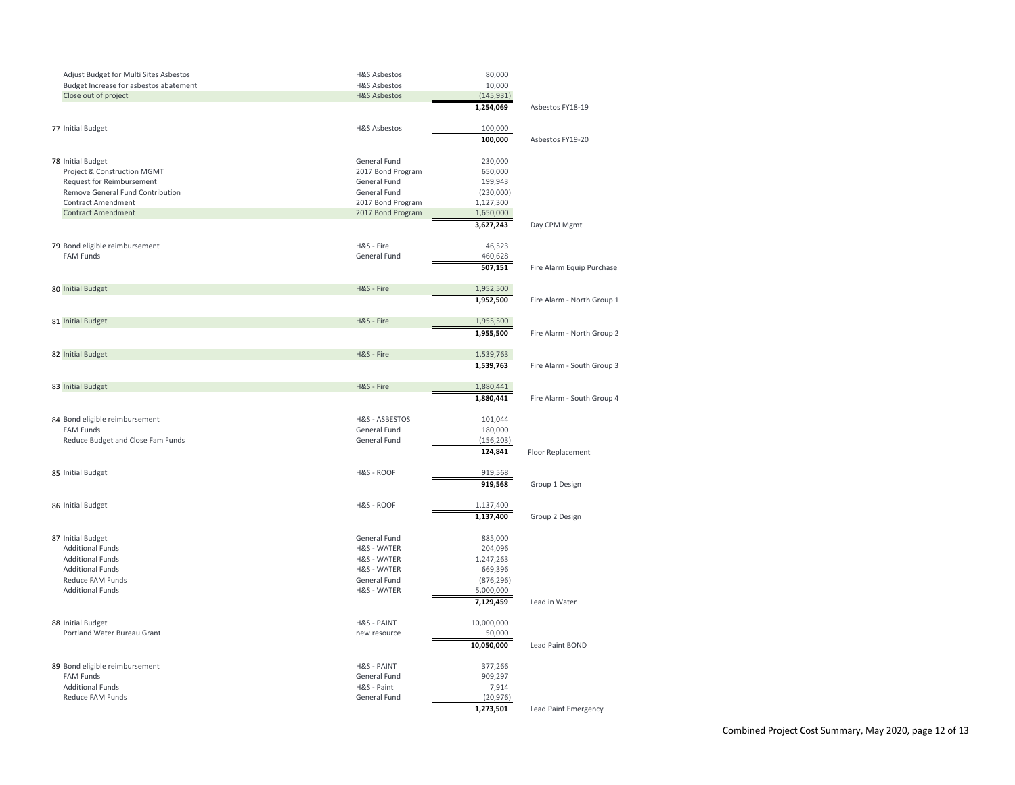| Adjust Budget for Multi Sites Asbestos | H&S Asbestos            | 80,000                 |                             |
|----------------------------------------|-------------------------|------------------------|-----------------------------|
| Budget Increase for asbestos abatement | <b>H&amp;S Asbestos</b> | 10,000                 |                             |
| Close out of project                   | <b>H&amp;S Asbestos</b> | (145, 931)             |                             |
|                                        |                         | 1,254,069              | Asbestos FY18-19            |
| 77 Initial Budget                      | <b>H&amp;S Asbestos</b> | 100,000                |                             |
|                                        |                         | 100,000                | Asbestos FY19-20            |
| 78 Initial Budget                      | General Fund            | 230,000                |                             |
| Project & Construction MGMT            | 2017 Bond Program       | 650,000                |                             |
| <b>Request for Reimbursement</b>       | General Fund            | 199,943                |                             |
| Remove General Fund Contribution       | General Fund            | (230,000)              |                             |
| <b>Contract Amendment</b>              | 2017 Bond Program       | 1,127,300              |                             |
| <b>Contract Amendment</b>              | 2017 Bond Program       | 1,650,000              |                             |
|                                        |                         | 3,627,243              | Day CPM Mgmt                |
| 79 Bond eligible reimbursement         | H&S - Fire              | 46,523                 |                             |
|                                        | General Fund            |                        |                             |
| <b>FAM Funds</b>                       |                         | 460,628                |                             |
|                                        |                         | 507,151                | Fire Alarm Equip Purchase   |
| 80 Initial Budget                      | H&S - Fire              | 1,952,500              |                             |
|                                        |                         | 1,952,500              | Fire Alarm - North Group 1  |
| 81 Initial Budget                      | H&S - Fire              | 1,955,500              |                             |
|                                        |                         | 1,955,500              | Fire Alarm - North Group 2  |
| 82 Initial Budget                      | H&S - Fire              | 1,539,763              |                             |
|                                        |                         | 1,539,763              | Fire Alarm - South Group 3  |
|                                        |                         |                        |                             |
| 83 Initial Budget                      | H&S - Fire              | 1,880,441<br>1,880,441 | Fire Alarm - South Group 4  |
|                                        |                         |                        |                             |
| 84 Bond eligible reimbursement         | H&S - ASBESTOS          | 101,044                |                             |
| <b>FAM Funds</b>                       | General Fund            | 180,000                |                             |
| Reduce Budget and Close Fam Funds      | General Fund            | (156, 203)             |                             |
|                                        |                         | 124,841                | Floor Replacement           |
| 85 Initial Budget                      | H&S - ROOF              | 919,568                |                             |
|                                        |                         | 919,568                | Group 1 Design              |
|                                        |                         |                        |                             |
| 86 Initial Budget                      | H&S - ROOF              | 1,137,400              |                             |
|                                        |                         | 1,137,400              | Group 2 Design              |
| 87 Initial Budget                      | General Fund            | 885,000                |                             |
| <b>Additional Funds</b>                | <b>H&amp;S - WATER</b>  | 204,096                |                             |
| <b>Additional Funds</b>                | H&S - WATER             | 1,247,263              |                             |
| <b>Additional Funds</b>                | H&S - WATER             | 669,396                |                             |
| Reduce FAM Funds                       | General Fund            | (876, 296)             |                             |
| <b>Additional Funds</b>                | H&S - WATER             | 5,000,000              |                             |
|                                        |                         | 7,129,459              | Lead in Water               |
| 88 Initial Budget                      | H&S - PAINT             | 10,000,000             |                             |
| Portland Water Bureau Grant            | new resource            | 50,000                 |                             |
|                                        |                         | 10,050,000             | Lead Paint BOND             |
|                                        |                         |                        |                             |
| 89 Bond eligible reimbursement         | H&S - PAINT             | 377,266                |                             |
| <b>FAM Funds</b>                       | General Fund            | 909,297                |                             |
| <b>Additional Funds</b>                | H&S - Paint             | 7,914                  |                             |
| Reduce FAM Funds                       | General Fund            | (20, 976)              |                             |
|                                        |                         | 1,273,501              | <b>Lead Paint Emergency</b> |